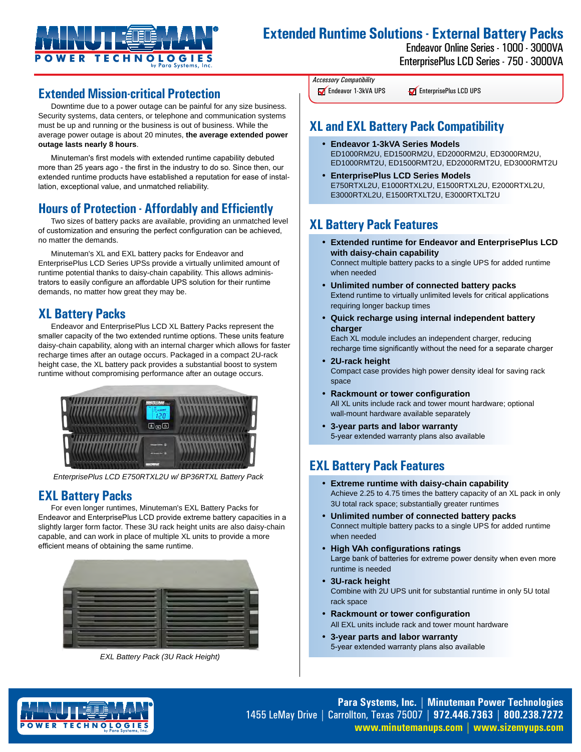

# **Extended Runtime Solutions - External Battery Packs**

Endeavor Online Series - 1000 - 3000VA EnterprisePlus LCD Series - 750 - 3000VA

## **Extended Mission-critical Protection**

Downtime due to a power outage can be painful for any size business. Security systems, data centers, or telephone and communication systems must be up and running or the business is out of business. While the average power outage is about 20 minutes, **the average extended power outage lasts nearly 8 hours**.

Minuteman's first models with extended runtime capability debuted more than 25 years ago - the first in the industry to do so. Since then, our extended runtime products have established a reputation for ease of installation, exceptional value, and unmatched reliability.

## **Hours of Protection - Affordably and Efficiently**

Two sizes of battery packs are available, providing an unmatched level of customization and ensuring the perfect configuration can be achieved, no matter the demands.

Minuteman's XL and EXL battery packs for Endeavor and EnterprisePlus LCD Series UPSs provide a virtually unlimited amount of runtime potential thanks to daisy-chain capability. This allows administrators to easily configure an affordable UPS solution for their runtime demands, no matter how great they may be.

# **XL Battery Packs**

Endeavor and EnterprisePlus LCD XL Battery Packs represent the smaller capacity of the two extended runtime options. These units feature daisy-chain capability, along with an internal charger which allows for faster recharge times after an outage occurs. Packaged in a compact 2U-rack height case, the XL battery pack provides a substantial boost to system runtime without compromising performance after an outage occurs.



*EnterprisePlus LCD E750RTXL2U w/ BP36RTXL Battery Pack*

# **EXL Battery Packs**

For even longer runtimes, Minuteman's EXL Battery Packs for Endeavor and EnterprisePlus LCD provide extreme battery capacities in a slightly larger form factor. These 3U rack height units are also daisy-chain capable, and can work in place of multiple XL units to provide a more efficient means of obtaining the same runtime.



*EXL Battery Pack (3U Rack Height)*

*Accessory Compatibility* Endeavor 1-3kVA UPS

**EnterprisePlus LCD UPS** 

# **XL and EXL Battery Pack Compatibility**

- **Endeavor 1-3kVA Series Models**  ED1000RM2U, ED1500RM2U, ED2000RM2U, ED3000RM2U, ED1000RMT2U, ED1500RMT2U, ED2000RMT2U, ED3000RMT2U
- **EnterprisePlus LCD Series Models**  E750RTXL2U, E1000RTXL2U, E1500RTXL2U, E2000RTXL2U, E3000RTXL2U, E1500RTXLT2U, E3000RTXLT2U

## **XL Battery Pack Features**

• **Extended runtime for Endeavor and EnterprisePlus LCD with daisy-chain capability**  Connect multiple battery packs to a single UPS for added runtime

when needed

- **Unlimited number of connected battery packs**  Extend runtime to virtually unlimited levels for critical applications requiring longer backup times
- **Quick recharge using internal independent battery charger**

Each XL module includes an independent charger, reducing recharge time significantly without the need for a separate charger

- **2U-rack height**  Compact case provides high power density ideal for saving rack space
- **Rackmount or tower configuration** All XL units include rack and tower mount hardware; optional wall-mount hardware available separately
- **3-year parts and labor warranty**  5-year extended warranty plans also available

# **EXL Battery Pack Features**

- **Extreme runtime with daisy-chain capability**  Achieve 2.25 to 4.75 times the battery capacity of an XL pack in only 3U total rack space; substantially greater runtimes
- **Unlimited number of connected battery packs**  Connect multiple battery packs to a single UPS for added runtime when needed
- **High VAh configurations ratings** Large bank of batteries for extreme power density when even more runtime is needed
- **3U-rack height**  Combine with 2U UPS unit for substantial runtime in only 5U total rack space
- **Rackmount or tower configuration** All EXL units include rack and tower mount hardware
- **3-year parts and labor warranty**  5-year extended warranty plans also available



**Para Systems, Inc. | Minuteman Power Technologies** 1455 LeMay Drive | Carrollton, Texas 75007 | **972.446.7363 | 800.238.7272 www.minutemanups.com | www.sizemyups.com**